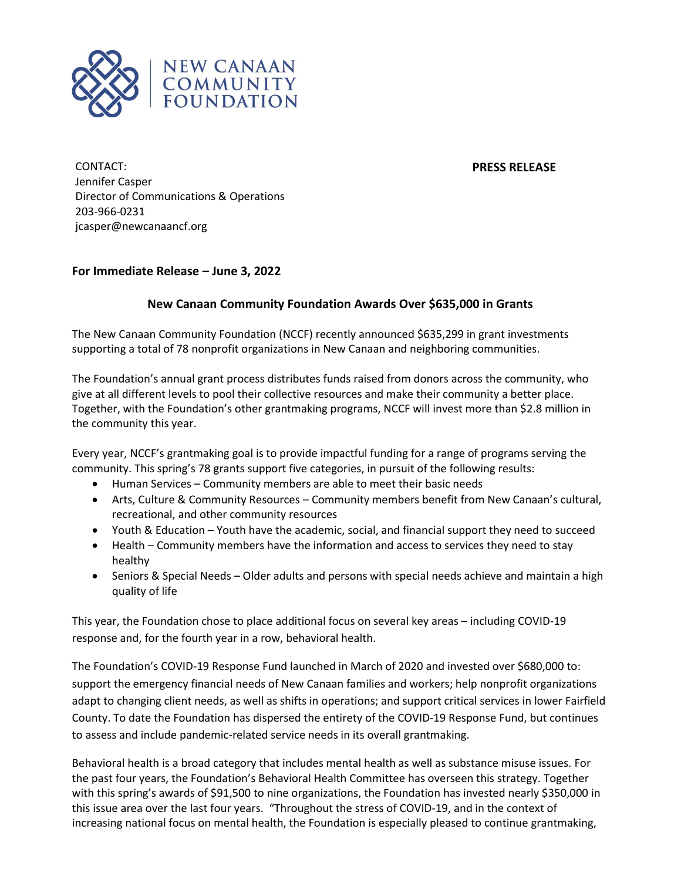

**PRESS RELEASE**

CONTACT: Jennifer Casper Director of Communications & Operations 203-966-0231 jcasper@newcanaancf.org

## **For Immediate Release – June 3, 2022**

## **New Canaan Community Foundation Awards Over \$635,000 in Grants**

The New Canaan Community Foundation (NCCF) recently announced \$635,299 in grant investments supporting a total of 78 nonprofit organizations in New Canaan and neighboring communities.

The Foundation's annual grant process distributes funds raised from donors across the community, who give at all different levels to pool their collective resources and make their community a better place. Together, with the Foundation's other grantmaking programs, NCCF will invest more than \$2.8 million in the community this year.

Every year, NCCF's grantmaking goal is to provide impactful funding for a range of programs serving the community. This spring's 78 grants support five categories, in pursuit of the following results:

- Human Services Community members are able to meet their basic needs
- Arts, Culture & Community Resources Community members benefit from New Canaan's cultural, recreational, and other community resources
- Youth & Education Youth have the academic, social, and financial support they need to succeed
- Health Community members have the information and access to services they need to stay healthy
- Seniors & Special Needs Older adults and persons with special needs achieve and maintain a high quality of life

This year, the Foundation chose to place additional focus on several key areas – including COVID-19 response and, for the fourth year in a row, behavioral health.

The Foundation's COVID-19 Response Fund launched in March of 2020 and invested over \$680,000 to: support the emergency financial needs of New Canaan families and workers; help nonprofit organizations adapt to changing client needs, as well as shifts in operations; and support critical services in lower Fairfield County. To date the Foundation has dispersed the entirety of the COVID-19 Response Fund, but continues to assess and include pandemic-related service needs in its overall grantmaking.

Behavioral health is a broad category that includes mental health as well as substance misuse issues. For the past four years, the Foundation's Behavioral Health Committee has overseen this strategy. Together with this spring's awards of \$91,500 to nine organizations, the Foundation has invested nearly \$350,000 in this issue area over the last four years. "Throughout the stress of COVID-19, and in the context of increasing national focus on mental health, the Foundation is especially pleased to continue grantmaking,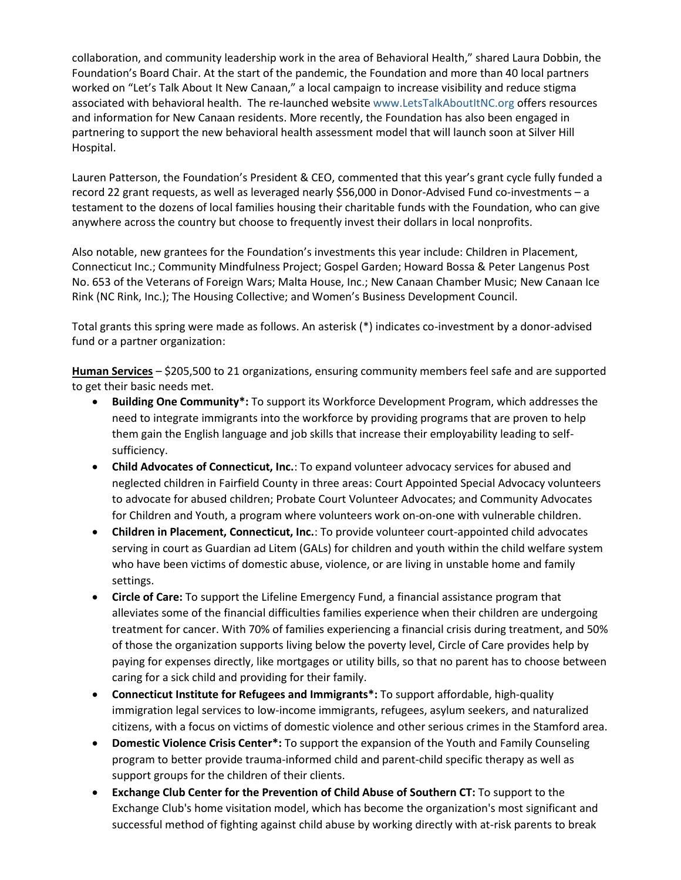collaboration, and community leadership work in the area of Behavioral Health," shared Laura Dobbin, the Foundation's Board Chair. At the start of the pandemic, the Foundation and more than 40 local partners worked on "Let's Talk About It New Canaan," a local campaign to increase visibility and reduce stigma associated with behavioral health. The re-launched websit[e www.LetsTalkAboutItNC.org](http://www.letstalkaboutitnc.org/) offers resources and information for New Canaan residents. More recently, the Foundation has also been engaged in partnering to support the new behavioral health assessment model that will launch soon at Silver Hill Hospital.

Lauren Patterson, the Foundation's President & CEO, commented that this year's grant cycle fully funded a record 22 grant requests, as well as leveraged nearly \$56,000 in Donor-Advised Fund co-investments – a testament to the dozens of local families housing their charitable funds with the Foundation, who can give anywhere across the country but choose to frequently invest their dollars in local nonprofits.

Also notable, new grantees for the Foundation's investments this year include: Children in Placement, Connecticut Inc.; Community Mindfulness Project; Gospel Garden; Howard Bossa & Peter Langenus Post No. 653 of the Veterans of Foreign Wars; Malta House, Inc.; New Canaan Chamber Music; New Canaan Ice Rink (NC Rink, Inc.); The Housing Collective; and Women's Business Development Council.

Total grants this spring were made as follows. An asterisk (\*) indicates co-investment by a donor-advised fund or a partner organization:

**Human Services** – \$205,500 to 21 organizations, ensuring community members feel safe and are supported to get their basic needs met.

- **Building One Community\*:** To support its Workforce Development Program, which addresses the need to integrate immigrants into the workforce by providing programs that are proven to help them gain the English language and job skills that increase their employability leading to selfsufficiency.
- **Child Advocates of Connecticut, Inc.**: To expand volunteer advocacy services for abused and neglected children in Fairfield County in three areas: Court Appointed Special Advocacy volunteers to advocate for abused children; Probate Court Volunteer Advocates; and Community Advocates for Children and Youth, a program where volunteers work on-on-one with vulnerable children.
- **Children in Placement, Connecticut, Inc.**: To provide volunteer court-appointed child advocates serving in court as Guardian ad Litem (GALs) for children and youth within the child welfare system who have been victims of domestic abuse, violence, or are living in unstable home and family settings.
- **Circle of Care:** To support the Lifeline Emergency Fund, a financial assistance program that alleviates some of the financial difficulties families experience when their children are undergoing treatment for cancer. With 70% of families experiencing a financial crisis during treatment, and 50% of those the organization supports living below the poverty level, Circle of Care provides help by paying for expenses directly, like mortgages or utility bills, so that no parent has to choose between caring for a sick child and providing for their family.
- **Connecticut Institute for Refugees and Immigrants\*:** To support affordable, high-quality immigration legal services to low-income immigrants, refugees, asylum seekers, and naturalized citizens, with a focus on victims of domestic violence and other serious crimes in the Stamford area.
- **Domestic Violence Crisis Center\*:** To support the expansion of the Youth and Family Counseling program to better provide trauma-informed child and parent-child specific therapy as well as support groups for the children of their clients.
- **Exchange Club Center for the Prevention of Child Abuse of Southern CT:** To support to the Exchange Club's home visitation model, which has become the organization's most significant and successful method of fighting against child abuse by working directly with at-risk parents to break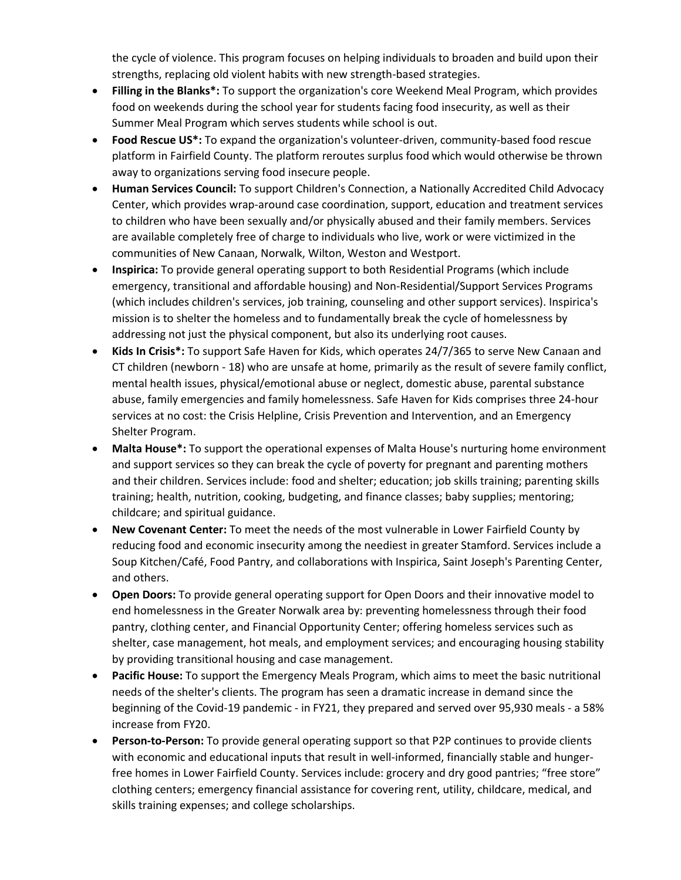the cycle of violence. This program focuses on helping individuals to broaden and build upon their strengths, replacing old violent habits with new strength-based strategies.

- **Filling in the Blanks\*:** To support the organization's core Weekend Meal Program, which provides food on weekends during the school year for students facing food insecurity, as well as their Summer Meal Program which serves students while school is out.
- **Food Rescue US\*:** To expand the organization's volunteer-driven, community-based food rescue platform in Fairfield County. The platform reroutes surplus food which would otherwise be thrown away to organizations serving food insecure people.
- **Human Services Council:** To support Children's Connection, a Nationally Accredited Child Advocacy Center, which provides wrap-around case coordination, support, education and treatment services to children who have been sexually and/or physically abused and their family members. Services are available completely free of charge to individuals who live, work or were victimized in the communities of New Canaan, Norwalk, Wilton, Weston and Westport.
- **Inspirica:** To provide general operating support to both Residential Programs (which include emergency, transitional and affordable housing) and Non-Residential/Support Services Programs (which includes children's services, job training, counseling and other support services). Inspirica's mission is to shelter the homeless and to fundamentally break the cycle of homelessness by addressing not just the physical component, but also its underlying root causes.
- **Kids In Crisis\*:** To support Safe Haven for Kids, which operates 24/7/365 to serve New Canaan and CT children (newborn - 18) who are unsafe at home, primarily as the result of severe family conflict, mental health issues, physical/emotional abuse or neglect, domestic abuse, parental substance abuse, family emergencies and family homelessness. Safe Haven for Kids comprises three 24-hour services at no cost: the Crisis Helpline, Crisis Prevention and Intervention, and an Emergency Shelter Program.
- **Malta House\*:** To support the operational expenses of Malta House's nurturing home environment and support services so they can break the cycle of poverty for pregnant and parenting mothers and their children. Services include: food and shelter; education; job skills training; parenting skills training; health, nutrition, cooking, budgeting, and finance classes; baby supplies; mentoring; childcare; and spiritual guidance.
- **New Covenant Center:** To meet the needs of the most vulnerable in Lower Fairfield County by reducing food and economic insecurity among the neediest in greater Stamford. Services include a Soup Kitchen/Café, Food Pantry, and collaborations with Inspirica, Saint Joseph's Parenting Center, and others.
- **Open Doors:** To provide general operating support for Open Doors and their innovative model to end homelessness in the Greater Norwalk area by: preventing homelessness through their food pantry, clothing center, and Financial Opportunity Center; offering homeless services such as shelter, case management, hot meals, and employment services; and encouraging housing stability by providing transitional housing and case management.
- **Pacific House:** To support the Emergency Meals Program, which aims to meet the basic nutritional needs of the shelter's clients. The program has seen a dramatic increase in demand since the beginning of the Covid-19 pandemic - in FY21, they prepared and served over 95,930 meals - a 58% increase from FY20.
- **Person-to-Person:** To provide general operating support so that P2P continues to provide clients with economic and educational inputs that result in well-informed, financially stable and hungerfree homes in Lower Fairfield County. Services include: grocery and dry good pantries; "free store" clothing centers; emergency financial assistance for covering rent, utility, childcare, medical, and skills training expenses; and college scholarships.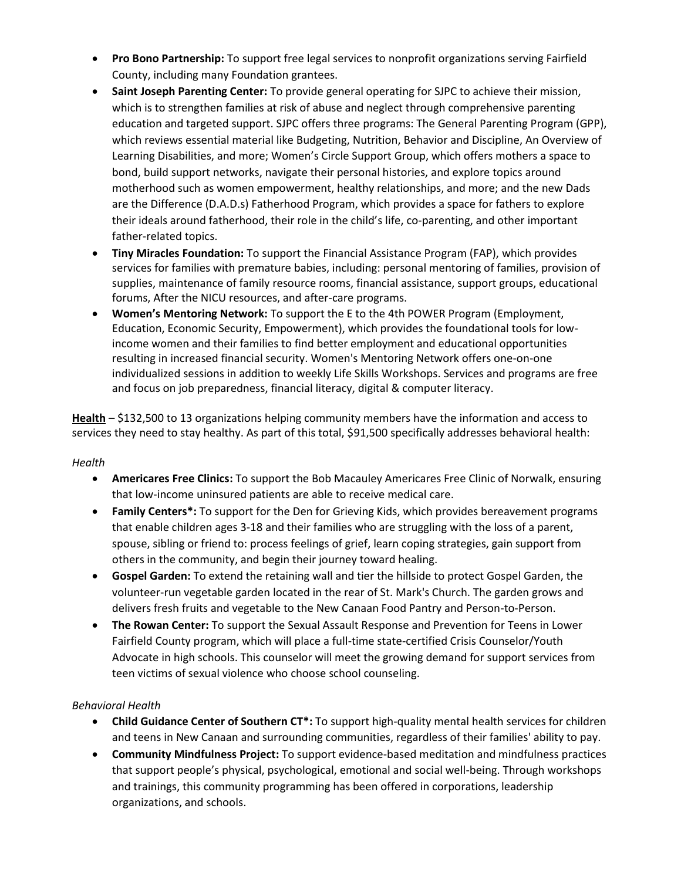- **Pro Bono Partnership:** To support free legal services to nonprofit organizations serving Fairfield County, including many Foundation grantees.
- **Saint Joseph Parenting Center:** To provide general operating for SJPC to achieve their mission, which is to strengthen families at risk of abuse and neglect through comprehensive parenting education and targeted support. SJPC offers three programs: The General Parenting Program (GPP), which reviews essential material like Budgeting, Nutrition, Behavior and Discipline, An Overview of Learning Disabilities, and more; Women's Circle Support Group, which offers mothers a space to bond, build support networks, navigate their personal histories, and explore topics around motherhood such as women empowerment, healthy relationships, and more; and the new Dads are the Difference (D.A.D.s) Fatherhood Program, which provides a space for fathers to explore their ideals around fatherhood, their role in the child's life, co-parenting, and other important father-related topics.
- **Tiny Miracles Foundation:** To support the Financial Assistance Program (FAP), which provides services for families with premature babies, including: personal mentoring of families, provision of supplies, maintenance of family resource rooms, financial assistance, support groups, educational forums, After the NICU resources, and after-care programs.
- **Women's Mentoring Network:** To support the E to the 4th POWER Program (Employment, Education, Economic Security, Empowerment), which provides the foundational tools for lowincome women and their families to find better employment and educational opportunities resulting in increased financial security. Women's Mentoring Network offers one-on-one individualized sessions in addition to weekly Life Skills Workshops. Services and programs are free and focus on job preparedness, financial literacy, digital & computer literacy.

**Health** – \$132,500 to 13 organizations helping community members have the information and access to services they need to stay healthy. As part of this total, \$91,500 specifically addresses behavioral health:

## *Health*

- **Americares Free Clinics:** To support the Bob Macauley Americares Free Clinic of Norwalk, ensuring that low-income uninsured patients are able to receive medical care.
- **Family Centers\*:** To support for the Den for Grieving Kids, which provides bereavement programs that enable children ages 3-18 and their families who are struggling with the loss of a parent, spouse, sibling or friend to: process feelings of grief, learn coping strategies, gain support from others in the community, and begin their journey toward healing.
- **Gospel Garden:** To extend the retaining wall and tier the hillside to protect Gospel Garden, the volunteer-run vegetable garden located in the rear of St. Mark's Church. The garden grows and delivers fresh fruits and vegetable to the New Canaan Food Pantry and Person-to-Person.
- **The Rowan Center:** To support the Sexual Assault Response and Prevention for Teens in Lower Fairfield County program, which will place a full-time state-certified Crisis Counselor/Youth Advocate in high schools. This counselor will meet the growing demand for support services from teen victims of sexual violence who choose school counseling.

## *Behavioral Health*

- **Child Guidance Center of Southern CT\*:** To support high-quality mental health services for children and teens in New Canaan and surrounding communities, regardless of their families' ability to pay.
- **Community Mindfulness Project:** To support evidence-based meditation and mindfulness practices that support people's physical, psychological, emotional and social well-being. Through workshops and trainings, this community programming has been offered in corporations, leadership organizations, and schools.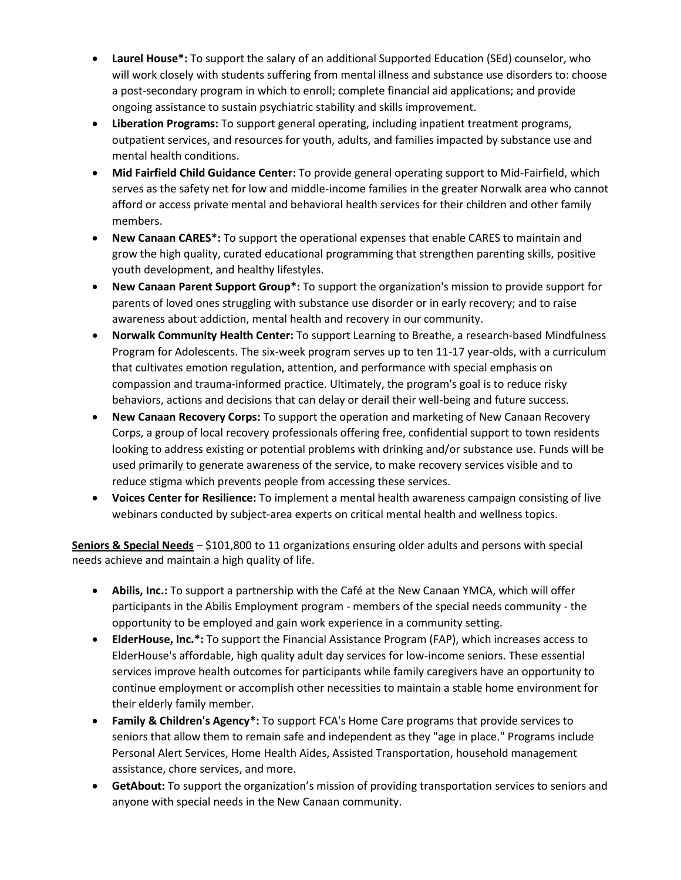- **Laurel House\*:** To support the salary of an additional Supported Education (SEd) counselor, who will work closely with students suffering from mental illness and substance use disorders to: choose a post-secondary program in which to enroll; complete financial aid applications; and provide ongoing assistance to sustain psychiatric stability and skills improvement.
- **Liberation Programs:** To support general operating, including inpatient treatment programs, outpatient services, and resources for youth, adults, and families impacted by substance use and mental health conditions.
- **Mid Fairfield Child Guidance Center:** To provide general operating support to Mid-Fairfield, which serves as the safety net for low and middle-income families in the greater Norwalk area who cannot afford or access private mental and behavioral health services for their children and other family members.
- **New Canaan CARES\*:** To support the operational expenses that enable CARES to maintain and grow the high quality, curated educational programming that strengthen parenting skills, positive youth development, and healthy lifestyles.
- **New Canaan Parent Support Group\*:** To support the organization's mission to provide support for parents of loved ones struggling with substance use disorder or in early recovery; and to raise awareness about addiction, mental health and recovery in our community.
- **Norwalk Community Health Center:** To support Learning to Breathe, a research-based Mindfulness Program for Adolescents. The six-week program serves up to ten 11-17 year-olds, with a curriculum that cultivates emotion regulation, attention, and performance with special emphasis on compassion and trauma-informed practice. Ultimately, the program's goal is to reduce risky behaviors, actions and decisions that can delay or derail their well-being and future success.
- **New Canaan Recovery Corps:** To support the operation and marketing of New Canaan Recovery Corps, a group of local recovery professionals offering free, confidential support to town residents looking to address existing or potential problems with drinking and/or substance use. Funds will be used primarily to generate awareness of the service, to make recovery services visible and to reduce stigma which prevents people from accessing these services.
- **Voices Center for Resilience:** To implement a mental health awareness campaign consisting of live webinars conducted by subject-area experts on critical mental health and wellness topics.

**Seniors & Special Needs** – \$101,800 to 11 organizations ensuring older adults and persons with special needs achieve and maintain a high quality of life.

- **Abilis, Inc.:** To support a partnership with the Café at the New Canaan YMCA, which will offer participants in the Abilis Employment program - members of the special needs community - the opportunity to be employed and gain work experience in a community setting.
- **ElderHouse, Inc.\*:** To support the Financial Assistance Program (FAP), which increases access to ElderHouse's affordable, high quality adult day services for low-income seniors. These essential services improve health outcomes for participants while family caregivers have an opportunity to continue employment or accomplish other necessities to maintain a stable home environment for their elderly family member.
- **Family & Children's Agency\*:** To support FCA's Home Care programs that provide services to seniors that allow them to remain safe and independent as they "age in place." Programs include Personal Alert Services, Home Health Aides, Assisted Transportation, household management assistance, chore services, and more.
- **GetAbout:** To support the organization's mission of providing transportation services to seniors and anyone with special needs in the New Canaan community.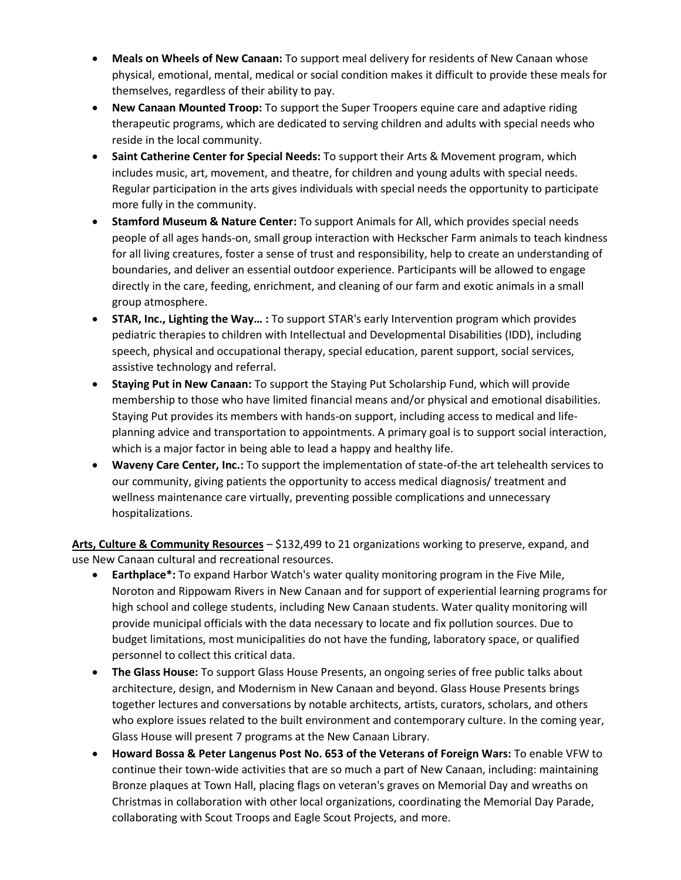- **Meals on Wheels of New Canaan:** To support meal delivery for residents of New Canaan whose physical, emotional, mental, medical or social condition makes it difficult to provide these meals for themselves, regardless of their ability to pay.
- **New Canaan Mounted Troop:** To support the Super Troopers equine care and adaptive riding therapeutic programs, which are dedicated to serving children and adults with special needs who reside in the local community.
- **Saint Catherine Center for Special Needs:** To support their Arts & Movement program, which includes music, art, movement, and theatre, for children and young adults with special needs. Regular participation in the arts gives individuals with special needs the opportunity to participate more fully in the community.
- **Stamford Museum & Nature Center:** To support Animals for All, which provides special needs people of all ages hands-on, small group interaction with Heckscher Farm animals to teach kindness for all living creatures, foster a sense of trust and responsibility, help to create an understanding of boundaries, and deliver an essential outdoor experience. Participants will be allowed to engage directly in the care, feeding, enrichment, and cleaning of our farm and exotic animals in a small group atmosphere.
- **STAR, Inc., Lighting the Way… :** To support STAR's early Intervention program which provides pediatric therapies to children with Intellectual and Developmental Disabilities (IDD), including speech, physical and occupational therapy, special education, parent support, social services, assistive technology and referral.
- **Staying Put in New Canaan:** To support the Staying Put Scholarship Fund, which will provide membership to those who have limited financial means and/or physical and emotional disabilities. Staying Put provides its members with hands-on support, including access to medical and lifeplanning advice and transportation to appointments. A primary goal is to support social interaction, which is a major factor in being able to lead a happy and healthy life.
- **Waveny Care Center, Inc.:** To support the implementation of state-of-the art telehealth services to our community, giving patients the opportunity to access medical diagnosis/ treatment and wellness maintenance care virtually, preventing possible complications and unnecessary hospitalizations.

**Arts, Culture & Community Resources** – \$132,499 to 21 organizations working to preserve, expand, and use New Canaan cultural and recreational resources.

- **Earthplace\*:** To expand Harbor Watch's water quality monitoring program in the Five Mile, Noroton and Rippowam Rivers in New Canaan and for support of experiential learning programs for high school and college students, including New Canaan students. Water quality monitoring will provide municipal officials with the data necessary to locate and fix pollution sources. Due to budget limitations, most municipalities do not have the funding, laboratory space, or qualified personnel to collect this critical data.
- **The Glass House:** To support Glass House Presents, an ongoing series of free public talks about architecture, design, and Modernism in New Canaan and beyond. Glass House Presents brings together lectures and conversations by notable architects, artists, curators, scholars, and others who explore issues related to the built environment and contemporary culture. In the coming year, Glass House will present 7 programs at the New Canaan Library.
- **Howard Bossa & Peter Langenus Post No. 653 of the Veterans of Foreign Wars:** To enable VFW to continue their town-wide activities that are so much a part of New Canaan, including: maintaining Bronze plaques at Town Hall, placing flags on veteran's graves on Memorial Day and wreaths on Christmas in collaboration with other local organizations, coordinating the Memorial Day Parade, collaborating with Scout Troops and Eagle Scout Projects, and more.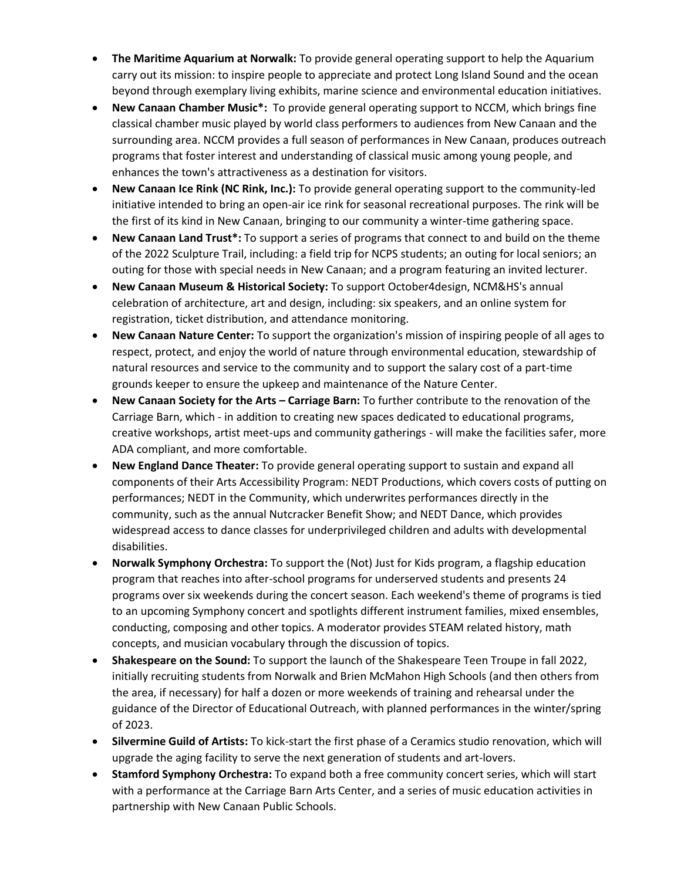- **The Maritime Aquarium at Norwalk:** To provide general operating support to help the Aquarium carry out its mission: to inspire people to appreciate and protect Long Island Sound and the ocean beyond through exemplary living exhibits, marine science and environmental education initiatives.
- **New Canaan Chamber Music\*:** To provide general operating support to NCCM, which brings fine classical chamber music played by world class performers to audiences from New Canaan and the surrounding area. NCCM provides a full season of performances in New Canaan, produces outreach programs that foster interest and understanding of classical music among young people, and enhances the town's attractiveness as a destination for visitors.
- **New Canaan Ice Rink (NC Rink, Inc.):** To provide general operating support to the community-led initiative intended to bring an open-air ice rink for seasonal recreational purposes. The rink will be the first of its kind in New Canaan, bringing to our community a winter-time gathering space.
- **New Canaan Land Trust\*:** To support a series of programs that connect to and build on the theme of the 2022 Sculpture Trail, including: a field trip for NCPS students; an outing for local seniors; an outing for those with special needs in New Canaan; and a program featuring an invited lecturer.
- **New Canaan Museum & Historical Society:** To support October4design, NCM&HS's annual celebration of architecture, art and design, including: six speakers, and an online system for registration, ticket distribution, and attendance monitoring.
- **New Canaan Nature Center:** To support the organization's mission of inspiring people of all ages to respect, protect, and enjoy the world of nature through environmental education, stewardship of natural resources and service to the community and to support the salary cost of a part-time grounds keeper to ensure the upkeep and maintenance of the Nature Center.
- **New Canaan Society for the Arts – Carriage Barn:** To further contribute to the renovation of the Carriage Barn, which - in addition to creating new spaces dedicated to educational programs, creative workshops, artist meet-ups and community gatherings - will make the facilities safer, more ADA compliant, and more comfortable.
- **New England Dance Theater:** To provide general operating support to sustain and expand all components of their Arts Accessibility Program: NEDT Productions, which covers costs of putting on performances; NEDT in the Community, which underwrites performances directly in the community, such as the annual Nutcracker Benefit Show; and NEDT Dance, which provides widespread access to dance classes for underprivileged children and adults with developmental disabilities.
- **Norwalk Symphony Orchestra:** To support the (Not) Just for Kids program, a flagship education program that reaches into after-school programs for underserved students and presents 24 programs over six weekends during the concert season. Each weekend's theme of programs is tied to an upcoming Symphony concert and spotlights different instrument families, mixed ensembles, conducting, composing and other topics. A moderator provides STEAM related history, math concepts, and musician vocabulary through the discussion of topics.
- **Shakespeare on the Sound:** To support the launch of the Shakespeare Teen Troupe in fall 2022, initially recruiting students from Norwalk and Brien McMahon High Schools (and then others from the area, if necessary) for half a dozen or more weekends of training and rehearsal under the guidance of the Director of Educational Outreach, with planned performances in the winter/spring of 2023.
- **Silvermine Guild of Artists:** To kick-start the first phase of a Ceramics studio renovation, which will upgrade the aging facility to serve the next generation of students and art-lovers.
- **Stamford Symphony Orchestra:** To expand both a free community concert series, which will start with a performance at the Carriage Barn Arts Center, and a series of music education activities in partnership with New Canaan Public Schools.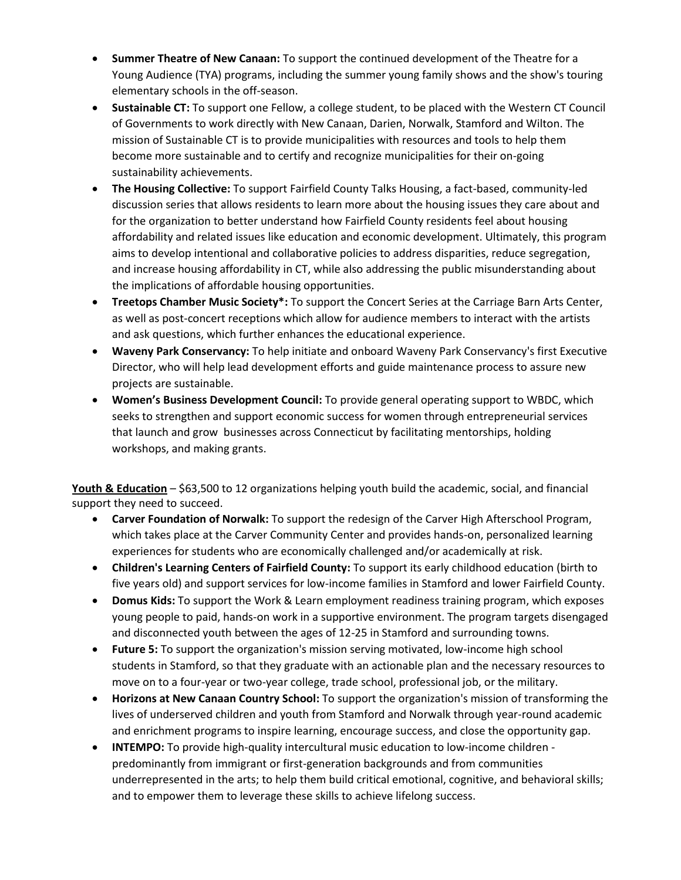- **Summer Theatre of New Canaan:** To support the continued development of the Theatre for a Young Audience (TYA) programs, including the summer young family shows and the show's touring elementary schools in the off-season.
- **Sustainable CT:** To support one Fellow, a college student, to be placed with the Western CT Council of Governments to work directly with New Canaan, Darien, Norwalk, Stamford and Wilton. The mission of Sustainable CT is to provide municipalities with resources and tools to help them become more sustainable and to certify and recognize municipalities for their on-going sustainability achievements.
- **The Housing Collective:** To support Fairfield County Talks Housing, a fact-based, community-led discussion series that allows residents to learn more about the housing issues they care about and for the organization to better understand how Fairfield County residents feel about housing affordability and related issues like education and economic development. Ultimately, this program aims to develop intentional and collaborative policies to address disparities, reduce segregation, and increase housing affordability in CT, while also addressing the public misunderstanding about the implications of affordable housing opportunities.
- **Treetops Chamber Music Society\*:** To support the Concert Series at the Carriage Barn Arts Center, as well as post-concert receptions which allow for audience members to interact with the artists and ask questions, which further enhances the educational experience.
- **Waveny Park Conservancy:** To help initiate and onboard Waveny Park Conservancy's first Executive Director, who will help lead development efforts and guide maintenance process to assure new projects are sustainable.
- **Women's Business Development Council:** To provide general operating support to WBDC, which seeks to strengthen and support economic success for women through entrepreneurial services that launch and grow businesses across Connecticut by facilitating mentorships, holding workshops, and making grants.

**Youth & Education** – \$63,500 to 12 organizations helping youth build the academic, social, and financial support they need to succeed.

- **Carver Foundation of Norwalk:** To support the redesign of the Carver High Afterschool Program, which takes place at the Carver Community Center and provides hands-on, personalized learning experiences for students who are economically challenged and/or academically at risk.
- **Children's Learning Centers of Fairfield County:** To support its early childhood education (birth to five years old) and support services for low-income families in Stamford and lower Fairfield County.
- **Domus Kids:** To support the Work & Learn employment readiness training program, which exposes young people to paid, hands-on work in a supportive environment. The program targets disengaged and disconnected youth between the ages of 12-25 in Stamford and surrounding towns.
- **Future 5:** To support the organization's mission serving motivated, low-income high school students in Stamford, so that they graduate with an actionable plan and the necessary resources to move on to a four-year or two-year college, trade school, professional job, or the military.
- **Horizons at New Canaan Country School:** To support the organization's mission of transforming the lives of underserved children and youth from Stamford and Norwalk through year-round academic and enrichment programs to inspire learning, encourage success, and close the opportunity gap.
- **INTEMPO:** To provide high-quality intercultural music education to low-income children predominantly from immigrant or first-generation backgrounds and from communities underrepresented in the arts; to help them build critical emotional, cognitive, and behavioral skills; and to empower them to leverage these skills to achieve lifelong success.